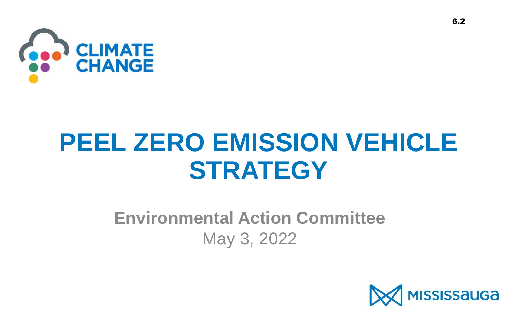

# **PEEL ZERO EMISSION VEHICLE STRATEGY**

### **Environmental Action Committee** May 3, 2022

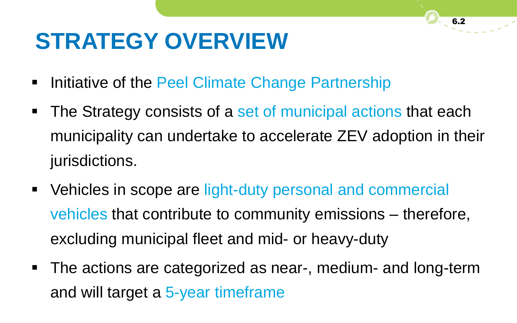## **STRATEGY OVERVIEW**

- **Initiative of the Peel Climate Change Partnership**
- The Strategy consists of a set of municipal actions that each municipality can undertake to accelerate ZEV adoption in their jurisdictions.
- Vehicles in scope are light-duty personal and commercial vehicles that contribute to community emissions – therefore, excluding municipal fleet and mid- or heavy-duty
- The actions are categorized as near-, medium- and long-term and will target a 5-year timeframe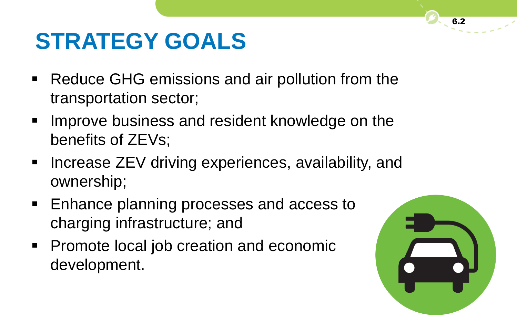## **STRATEGY GOALS**

- Reduce GHG emissions and air pollution from the transportation sector;
- **IMPROVE business and resident knowledge on the** benefits of ZEVs;
- **Increase ZEV driving experiences, availability, and** ownership;
- **Enhance planning processes and access to** charging infrastructure; and
- **Promote local job creation and economic** development.

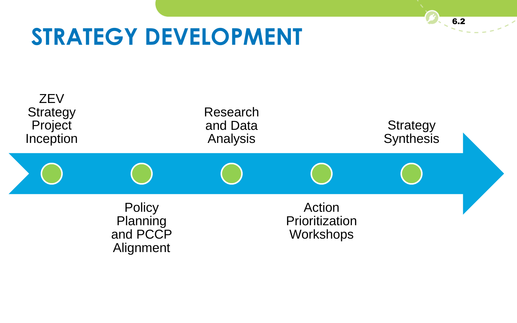### **STRATEGY DEVELOPMENT**

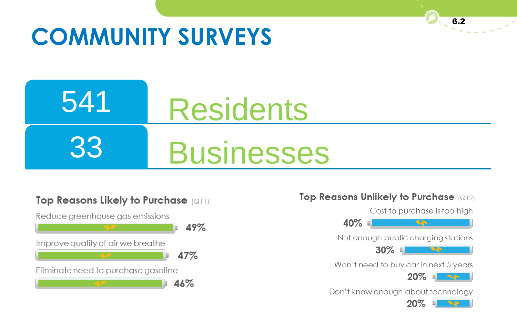## **COMMUNITY SURVEYS**

### 541 33 **Residents Businesses**



#### Top Reasons Unlikely to Purchase (Q12)



6.2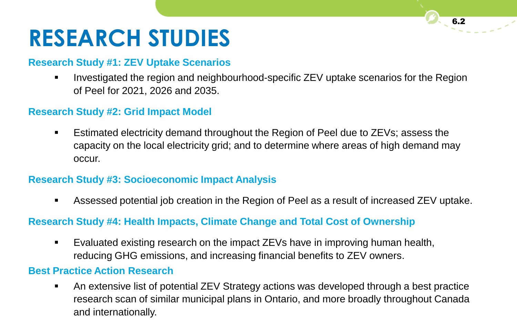## **RESEARCH STUDIES**

#### **Research Study #1: ZEV Uptake Scenarios**

**IDED** Investigated the region and neighbourhood-specific ZEV uptake scenarios for the Region of Peel for 2021, 2026 and 2035.

#### **Research Study #2: Grid Impact Model**

 Estimated electricity demand throughout the Region of Peel due to ZEVs; assess the capacity on the local electricity grid; and to determine where areas of high demand may occur.

#### **Research Study #3: Socioeconomic Impact Analysis**

Assessed potential job creation in the Region of Peel as a result of increased ZEV uptake.

#### **Research Study #4: Health Impacts, Climate Change and Total Cost of Ownership**

 Evaluated existing research on the impact ZEVs have in improving human health, reducing GHG emissions, and increasing financial benefits to ZEV owners.

#### **Best Practice Action Research**

 An extensive list of potential ZEV Strategy actions was developed through a best practice research scan of similar municipal plans in Ontario, and more broadly throughout Canada and internationally.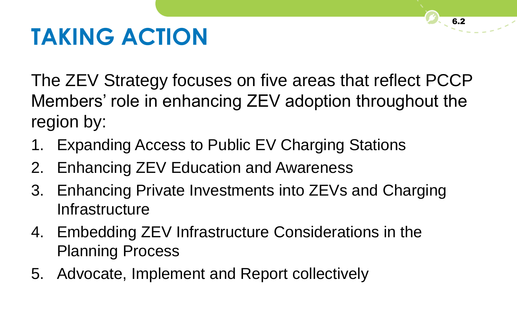## **TAKING ACTION**

The ZEV Strategy focuses on five areas that reflect PCCP Members' role in enhancing ZEV adoption throughout the region by:

- 1. Expanding Access to Public EV Charging Stations
- 2. Enhancing ZEV Education and Awareness
- 3. Enhancing Private Investments into ZEVs and Charging **Infrastructure**
- 4. Embedding ZEV Infrastructure Considerations in the Planning Process
- 5. Advocate, Implement and Report collectively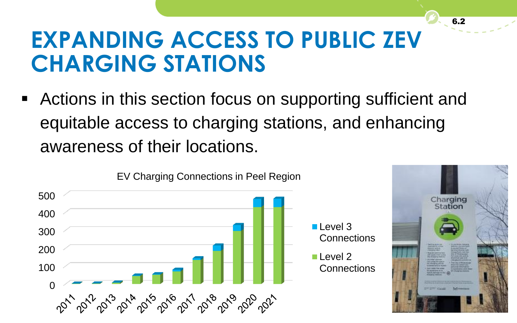### **EXPANDING ACCESS TO PUBLIC ZEV CHARGING STATIONS**

 Actions in this section focus on supporting sufficient and equitable access to charging stations, and enhancing awareness of their locations.





6.2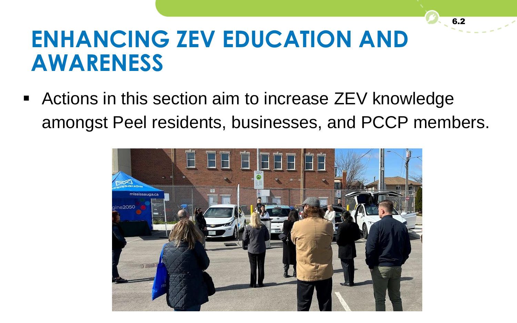### **ENHANCING ZEV EDUCATION AND AWARENESS**

 Actions in this section aim to increase ZEV knowledge amongst Peel residents, businesses, and PCCP members.

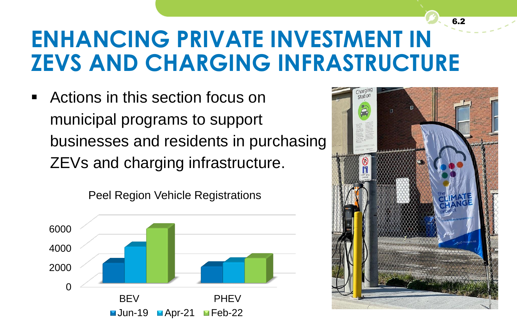### **ENHANCING PRIVATE INVESTMENT IN ZEVS AND CHARGING INFRASTRUCTURE**

 Actions in this section focus on municipal programs to support businesses and residents in purchasing ZEVs and charging infrastructure.



Peel Region Vehicle Registrations



6.2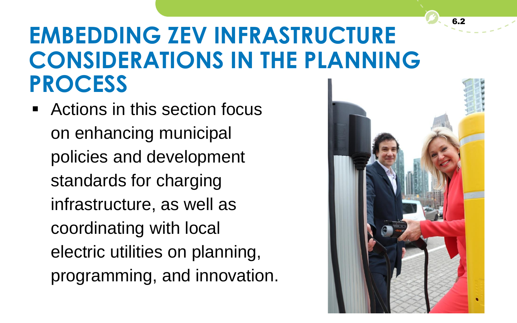### **EMBEDDING ZEV INFRASTRUCTURE CONSIDERATIONS IN THE PLANNING PROCESS**

 Actions in this section focus on enhancing municipal policies and development standards for charging infrastructure, as well as coordinating with local electric utilities on planning, programming, and innovation.

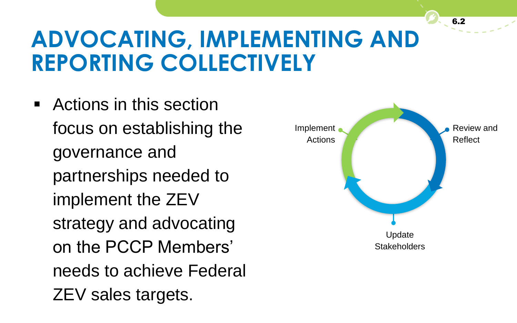### **ADVOCATING, IMPLEMENTING AND REPORTING COLLECTIVELY**

 Actions in this section focus on establishing the governance and partnerships needed to implement the ZEV strategy and advocating on the PCCP Members' needs to achieve Federal ZEV sales targets.

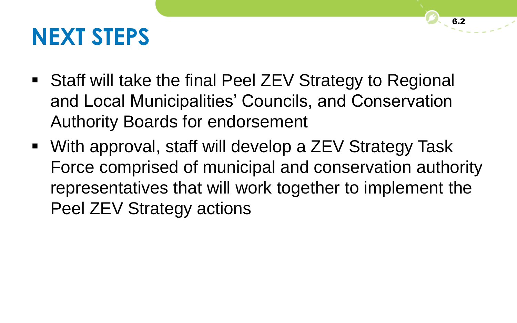### **NEXT STEPS**

- Staff will take the final Peel ZEV Strategy to Regional and Local Municipalities' Councils, and Conservation Authority Boards for endorsement
- With approval, staff will develop a ZEV Strategy Task Force comprised of municipal and conservation authority representatives that will work together to implement the Peel ZEV Strategy actions